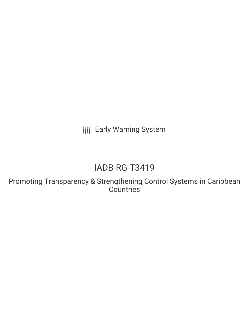**III** Early Warning System

# IADB-RG-T3419

Promoting Transparency & Strengthening Control Systems in Caribbean **Countries**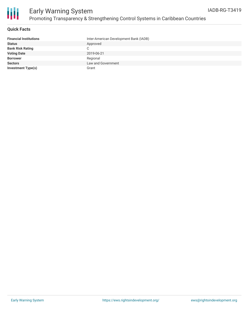

#### **Quick Facts**

| <b>Financial Institutions</b> | Inter-American Development Bank (IADB) |
|-------------------------------|----------------------------------------|
| <b>Status</b>                 | Approved                               |
| <b>Bank Risk Rating</b>       | C                                      |
| <b>Voting Date</b>            | 2019-06-21                             |
| <b>Borrower</b>               | Regional                               |
| <b>Sectors</b>                | Law and Government                     |
| Investment Type(s)            | Grant                                  |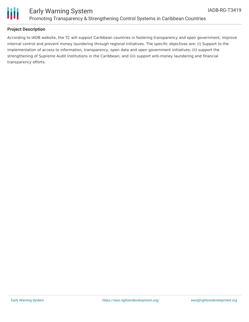



### Early Warning System Promoting Transparency & Strengthening Control Systems in Caribbean Countries

#### **Project Description**

According to IADB website, the TC will support Caribbean countries in fostering transparency and open government, improve internal control and prevent money laundering through regional initiatives. The specific objectives are: (i) Support to the implementation of access to information, transparency, open data and open government initiatives; (ii) support the strengthening of Supreme Audit Institutions in the Caribbean; and (iii) support anti-money laundering and financial transparency efforts.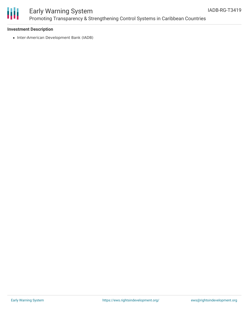

## Early Warning System Promoting Transparency & Strengthening Control Systems in Caribbean Countries

#### **Investment Description**

• Inter-American Development Bank (IADB)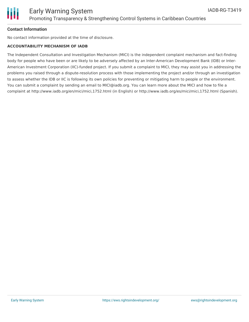

#### **Contact Information**

No contact information provided at the time of disclosure.

#### **ACCOUNTABILITY MECHANISM OF IADB**

The Independent Consultation and Investigation Mechanism (MICI) is the independent complaint mechanism and fact-finding body for people who have been or are likely to be adversely affected by an Inter-American Development Bank (IDB) or Inter-American Investment Corporation (IIC)-funded project. If you submit a complaint to MICI, they may assist you in addressing the problems you raised through a dispute-resolution process with those implementing the project and/or through an investigation to assess whether the IDB or IIC is following its own policies for preventing or mitigating harm to people or the environment. You can submit a complaint by sending an email to MICI@iadb.org. You can learn more about the MICI and how to file a complaint at http://www.iadb.org/en/mici/mici,1752.html (in English) or http://www.iadb.org/es/mici/mici,1752.html (Spanish).